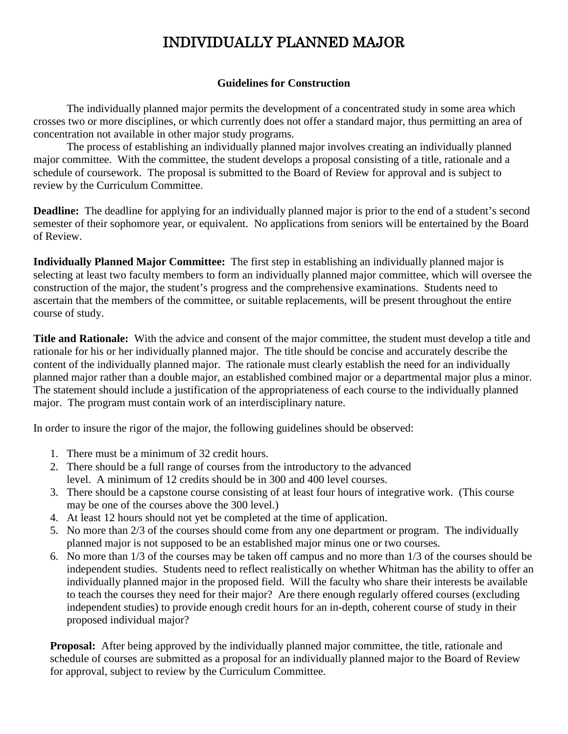## INDIVIDUALLY PLANNED MAJOR

## **Guidelines for Construction**

The individually planned major permits the development of a concentrated study in some area which crosses two or more disciplines, or which currently does not offer a standard major, thus permitting an area of concentration not available in other major study programs.

The process of establishing an individually planned major involves creating an individually planned major committee. With the committee, the student develops a proposal consisting of a title, rationale and a schedule of coursework. The proposal is submitted to the Board of Review for approval and is subject to review by the Curriculum Committee.

**Deadline:** The deadline for applying for an individually planned major is prior to the end of a student's second semester of their sophomore year, or equivalent. No applications from seniors will be entertained by the Board of Review.

**Individually Planned Major Committee:** The first step in establishing an individually planned major is selecting at least two faculty members to form an individually planned major committee, which will oversee the construction of the major, the student's progress and the comprehensive examinations. Students need to ascertain that the members of the committee, or suitable replacements, will be present throughout the entire course of study.

**Title and Rationale:** With the advice and consent of the major committee, the student must develop a title and rationale for his or her individually planned major. The title should be concise and accurately describe the content of the individually planned major. The rationale must clearly establish the need for an individually planned major rather than a double major, an established combined major or a departmental major plus a minor. The statement should include a justification of the appropriateness of each course to the individually planned major. The program must contain work of an interdisciplinary nature.

In order to insure the rigor of the major, the following guidelines should be observed:

- 1. There must be a minimum of 32 credit hours.
- 2. There should be a full range of courses from the introductory to the advanced level. A minimum of 12 credits should be in 300 and 400 level courses.
- 3. There should be a capstone course consisting of at least four hours of integrative work. (This course may be one of the courses above the 300 level.)
- 4. At least 12 hours should not yet be completed at the time of application.
- 5. No more than 2/3 of the courses should come from any one department or program. The individually planned major is not supposed to be an established major minus one or two courses.
- 6. No more than 1/3 of the courses may be taken off campus and no more than 1/3 of the courses should be independent studies. Students need to reflect realistically on whether Whitman has the ability to offer an individually planned major in the proposed field. Will the faculty who share their interests be available to teach the courses they need for their major? Are there enough regularly offered courses (excluding independent studies) to provide enough credit hours for an in-depth, coherent course of study in their proposed individual major?

**Proposal:** After being approved by the individually planned major committee, the title, rationale and schedule of courses are submitted as a proposal for an individually planned major to the Board of Review for approval, subject to review by the Curriculum Committee.